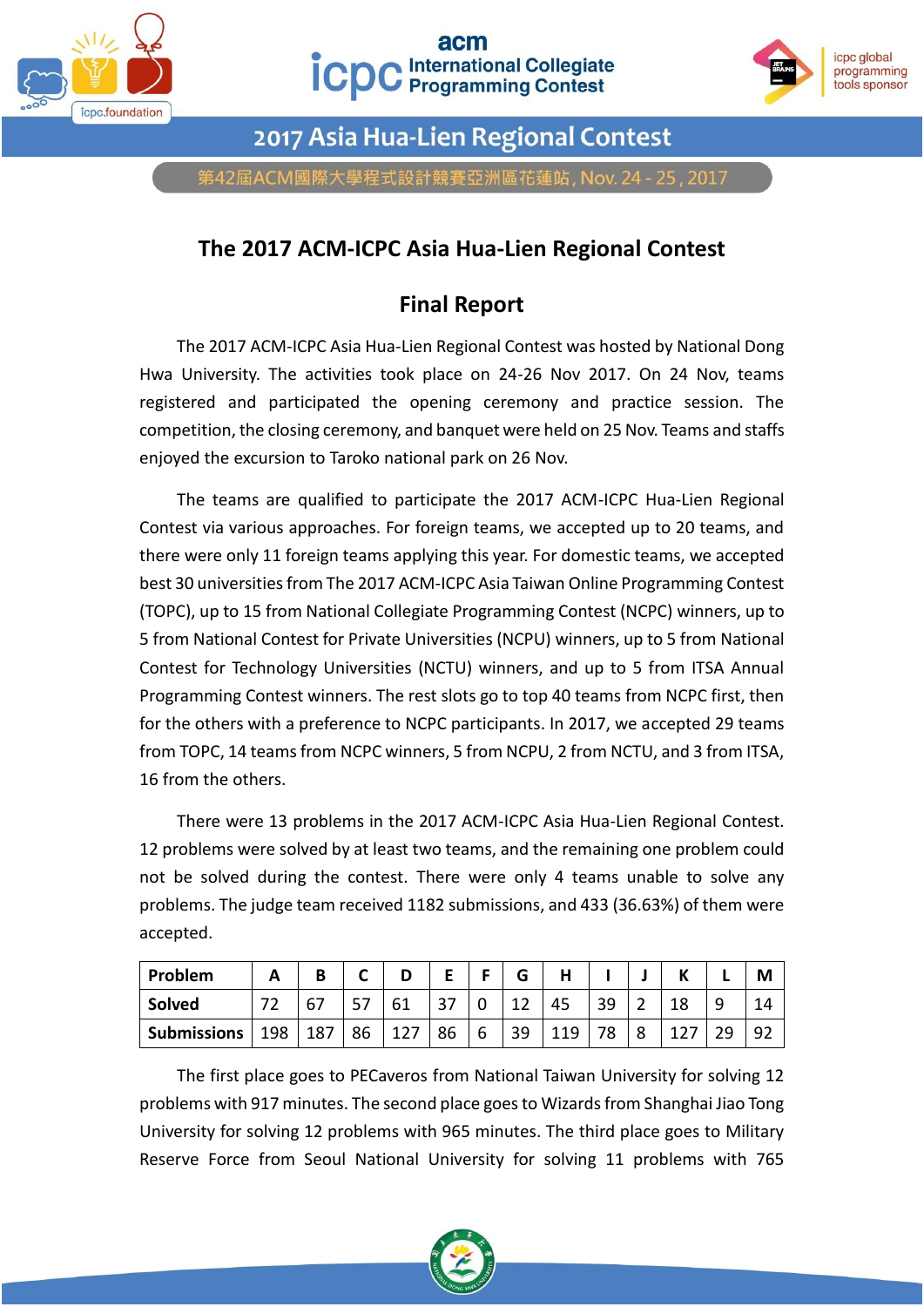



2017 Asia Hua-Lien Regional Contest

第42屆ACM國際大學程式設計競賽亞洲區花蓮站, Nov. 24 - 25, 2017

## **The 2017 ACM-ICPC Asia Hua-Lien Regional Contest**

## **Final Report**

The 2017 ACM-ICPC Asia Hua-Lien Regional Contest was hosted by National Dong Hwa University. The activities took place on 24-26 Nov 2017. On 24 Nov, teams registered and participated the opening ceremony and practice session. The competition, the closing ceremony, and banquet were held on 25 Nov. Teams and staffs enjoyed the excursion to Taroko national park on 26 Nov.

The teams are qualified to participate the 2017 ACM-ICPC Hua-Lien Regional Contest via various approaches. For foreign teams, we accepted up to 20 teams, and there were only 11 foreign teams applying this year. For domestic teams, we accepted best 30 universities from The 2017 ACM-ICPC Asia Taiwan Online Programming Contest (TOPC), up to 15 from National Collegiate Programming Contest (NCPC) winners, up to 5 from National Contest for Private Universities (NCPU) winners, up to 5 from National Contest for Technology Universities (NCTU) winners, and up to 5 from ITSA Annual Programming Contest winners. The rest slots go to top 40 teams from NCPC first, then for the others with a preference to NCPC participants. In 2017, we accepted 29 teams from TOPC, 14 teams from NCPC winners, 5 from NCPU, 2 from NCTU, and 3 from ITSA, 16 from the others.

There were 13 problems in the 2017 ACM-ICPC Asia Hua-Lien Regional Contest. 12 problems were solved by at least two teams, and the remaining one problem could not be solved during the contest. There were only 4 teams unable to solve any problems. The judge team received 1182 submissions, and 433 (36.63%) of them were accepted.

| Problem            |               |     |    |     |    |   | G  |     |    |        |   |    | Μ  |
|--------------------|---------------|-----|----|-----|----|---|----|-----|----|--------|---|----|----|
| Solved             | $\mathcal{L}$ | 67  | э  | 61  |    |   | ៱  | 45  | 39 |        | ت |    |    |
| <b>Submissions</b> | 198           | 187 | 86 | 127 | 86 | b | 39 | 119 | 78 | о<br>٥ |   | າດ | 92 |

The first place goes to PECaveros from National Taiwan University for solving 12 problems with 917 minutes. The second place goes to Wizards from Shanghai Jiao Tong University for solving 12 problems with 965 minutes. The third place goes to Military Reserve Force from Seoul National University for solving 11 problems with 765